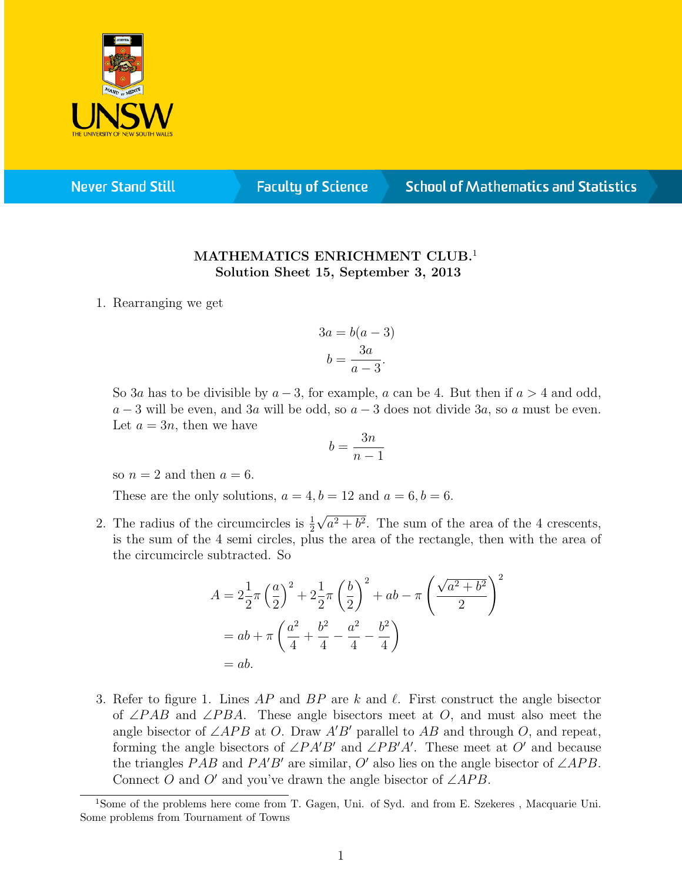

**Never Stand Still** 

**Faculty of Science** 

## **School of Mathematics and Statistics**

## MATHEMATICS ENRICHMENT CLUB.<sup>1</sup> Solution Sheet 15, September 3, 2013

1. Rearranging we get

$$
3a = b(a - 3)
$$

$$
b = \frac{3a}{a - 3}.
$$

So 3a has to be divisible by  $a-3$ , for example, a can be 4. But then if  $a > 4$  and odd,  $a-3$  will be even, and 3a will be odd, so  $a-3$  does not divide 3a, so a must be even. Let  $a = 3n$ , then we have

$$
b = \frac{3n}{n-1}
$$

so  $n = 2$  and then  $a = 6$ .

These are the only solutions,  $a = 4, b = 12$  and  $a = 6, b = 6$ .

2. The radius of the circumcircles is  $\frac{1}{2}$ √  $a^2 + b^2$ . The sum of the area of the 4 crescents, is the sum of the 4 semi circles, plus the area of the rectangle, then with the area of the circumcircle subtracted. So

$$
A = 2\frac{1}{2}\pi \left(\frac{a}{2}\right)^2 + 2\frac{1}{2}\pi \left(\frac{b}{2}\right)^2 + ab - \pi \left(\frac{\sqrt{a^2 + b^2}}{2}\right)^2
$$
  
=  $ab + \pi \left(\frac{a^2}{4} + \frac{b^2}{4} - \frac{a^2}{4} - \frac{b^2}{4}\right)$   
=  $ab$ .

3. Refer to figure 1. Lines  $AP$  and  $BP$  are k and  $\ell$ . First construct the angle bisector of ∠PAB and ∠PBA. These angle bisectors meet at O, and must also meet the angle bisector of  $\angle APB$  at O. Draw A'B' parallel to AB and through O, and repeat, forming the angle bisectors of  $\angle PA'B'$  and  $\angle PB'A'$ . These meet at O' and because the triangles PAB and PA'B' are similar, O' also lies on the angle bisector of  $\angle APB$ . Connect O and O' and you've drawn the angle bisector of  $\angle APB$ .

<sup>&</sup>lt;sup>1</sup>Some of the problems here come from T. Gagen, Uni. of Syd. and from E. Szekeres, Macquarie Uni. Some problems from Tournament of Towns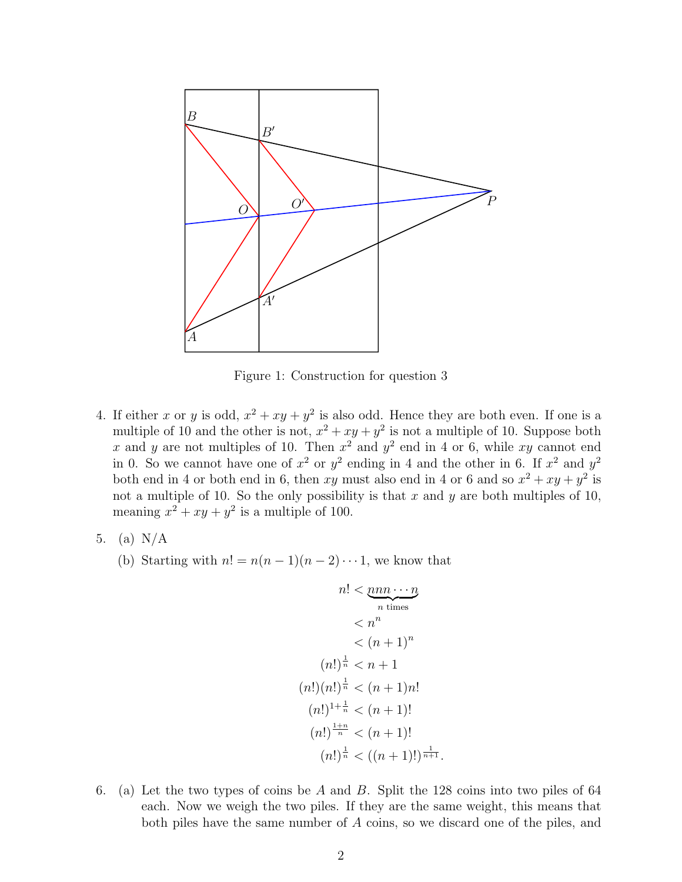

Figure 1: Construction for question 3

- 4. If either x or y is odd,  $x^2 + xy + y^2$  is also odd. Hence they are both even. If one is a multiple of 10 and the other is not,  $x^2 + xy + y^2$  is not a multiple of 10. Suppose both x and y are not multiples of 10. Then  $x^2$  and  $y^2$  end in 4 or 6, while xy cannot end in 0. So we cannot have one of  $x^2$  or  $y^2$  ending in 4 and the other in 6. If  $x^2$  and  $y^2$ both end in 4 or both end in 6, then xy must also end in 4 or 6 and so  $x^2 + xy + y^2$  is not a multiple of 10. So the only possibility is that  $x$  and  $y$  are both multiples of 10, meaning  $x^2 + xy + y^2$  is a multiple of 100.
- 5. (a) N/A
	- (b) Starting with  $n! = n(n-1)(n-2)\cdots 1$ , we know that

$$
n! < \underbrace{nnn\cdots n}_{n \text{ times}} \\
< n^n \\
< (n+1)^n \\
(n!)^{\frac{1}{n}} < n+1 \\
(n!) (n!)^{\frac{1}{n}} < (n+1)n! \\
(n!)^{\frac{1+n}{n}} < (n+1)! \\
(n!)^{\frac{1+n}{n}} < (n+1)! \\
(n!)^{\frac{1}{n}} < ((n+1)!)^{\frac{1}{n+1}}.
$$

6. (a) Let the two types of coins be A and B. Split the 128 coins into two piles of 64 each. Now we weigh the two piles. If they are the same weight, this means that both piles have the same number of A coins, so we discard one of the piles, and